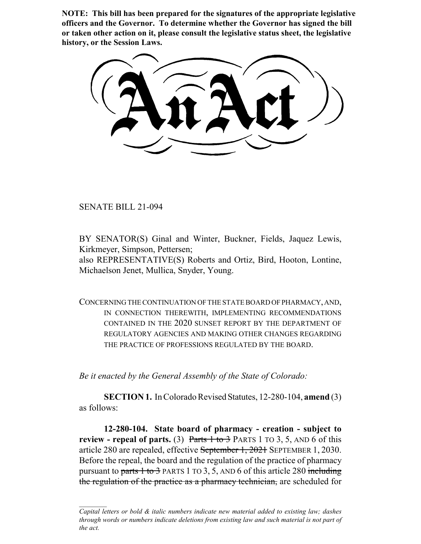**NOTE: This bill has been prepared for the signatures of the appropriate legislative officers and the Governor. To determine whether the Governor has signed the bill or taken other action on it, please consult the legislative status sheet, the legislative history, or the Session Laws.**

SENATE BILL 21-094

BY SENATOR(S) Ginal and Winter, Buckner, Fields, Jaquez Lewis, Kirkmeyer, Simpson, Pettersen;

also REPRESENTATIVE(S) Roberts and Ortiz, Bird, Hooton, Lontine, Michaelson Jenet, Mullica, Snyder, Young.

CONCERNING THE CONTINUATION OF THE STATE BOARD OF PHARMACY, AND, IN CONNECTION THEREWITH, IMPLEMENTING RECOMMENDATIONS CONTAINED IN THE 2020 SUNSET REPORT BY THE DEPARTMENT OF REGULATORY AGENCIES AND MAKING OTHER CHANGES REGARDING THE PRACTICE OF PROFESSIONS REGULATED BY THE BOARD.

*Be it enacted by the General Assembly of the State of Colorado:*

**SECTION 1.** In Colorado Revised Statutes, 12-280-104, **amend** (3) as follows:

**12-280-104. State board of pharmacy - creation - subject to review - repeal of parts.** (3) Parts  $1 \text{ to } 3$  PARTS 1 TO 3, 5, AND 6 of this article 280 are repealed, effective September 1, 2021 SEPTEMBER 1, 2030. Before the repeal, the board and the regulation of the practice of pharmacy pursuant to parts  $1$  to  $3$  PARTS 1 TO  $3, 5$ , AND 6 of this article 280 including the regulation of the practice as a pharmacy technician, are scheduled for

*Capital letters or bold & italic numbers indicate new material added to existing law; dashes through words or numbers indicate deletions from existing law and such material is not part of the act.*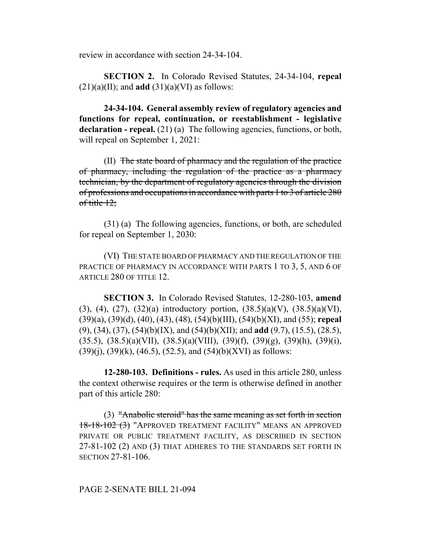review in accordance with section 24-34-104.

**SECTION 2.** In Colorado Revised Statutes, 24-34-104, **repeal**  $(21)(a)(II)$ ; and **add**  $(31)(a)(VI)$  as follows:

**24-34-104. General assembly review of regulatory agencies and functions for repeal, continuation, or reestablishment - legislative** declaration - repeal. (21) (a) The following agencies, functions, or both, will repeal on September 1, 2021:

(II) The state board of pharmacy and the regulation of the practice of pharmacy, including the regulation of the practice as a pharmacy technician, by the department of regulatory agencies through the division of professions and occupations in accordance with parts 1 to 3 of article 280 of title  $12$ ;

(31) (a) The following agencies, functions, or both, are scheduled for repeal on September 1, 2030:

(VI) THE STATE BOARD OF PHARMACY AND THE REGULATION OF THE PRACTICE OF PHARMACY IN ACCORDANCE WITH PARTS 1 TO 3, 5, AND 6 OF ARTICLE 280 OF TITLE 12.

**SECTION 3.** In Colorado Revised Statutes, 12-280-103, **amend** (3), (4), (27), (32)(a) introductory portion,  $(38.5)(a)(V)$ ,  $(38.5)(a)(VI)$ , (39)(a), (39)(d), (40), (43), (48), (54)(b)(III), (54)(b)(XI), and (55); **repeal** (9), (34), (37), (54)(b)(IX), and (54)(b)(XII); and **add** (9.7), (15.5), (28.5),  $(35.5)$ ,  $(38.5)(a)(VII)$ ,  $(38.5)(a)(VIII)$ ,  $(39)(f)$ ,  $(39)(g)$ ,  $(39)(h)$ ,  $(39)(i)$ ,  $(39)(i)$ ,  $(39)(k)$ ,  $(46.5)$ ,  $(52.5)$ , and  $(54)(b)(XVI)$  as follows:

**12-280-103. Definitions - rules.** As used in this article 280, unless the context otherwise requires or the term is otherwise defined in another part of this article 280:

(3) "Anabolic steroid" has the same meaning as set forth in section 18-18-102 (3) "APPROVED TREATMENT FACILITY" MEANS AN APPROVED PRIVATE OR PUBLIC TREATMENT FACILITY, AS DESCRIBED IN SECTION 27-81-102 (2) AND (3) THAT ADHERES TO THE STANDARDS SET FORTH IN SECTION 27-81-106.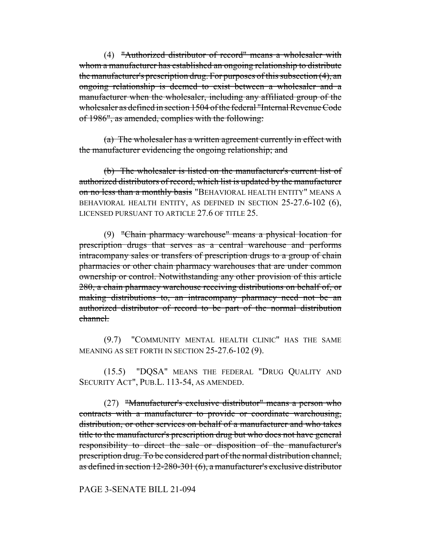(4) "Authorized distributor of record" means a wholesaler with whom a manufacturer has established an ongoing relationship to distribute the manufacturer's prescription drug. For purposes of this subsection (4), an ongoing relationship is deemed to exist between a wholesaler and a manufacturer when the wholesaler, including any affiliated group of the wholesaler as defined in section 1504 of the federal "Internal Revenue Code of 1986", as amended, complies with the following:

(a) The wholesaler has a written agreement currently in effect with the manufacturer evidencing the ongoing relationship; and

(b) The wholesaler is listed on the manufacturer's current list of authorized distributors of record, which list is updated by the manufacturer on no less than a monthly basis "BEHAVIORAL HEALTH ENTITY" MEANS A BEHAVIORAL HEALTH ENTITY, AS DEFINED IN SECTION 25-27.6-102 (6), LICENSED PURSUANT TO ARTICLE 27.6 OF TITLE 25.

(9) "Chain pharmacy warehouse" means a physical location for prescription drugs that serves as a central warehouse and performs intracompany sales or transfers of prescription drugs to a group of chain pharmacies or other chain pharmacy warehouses that are under common ownership or control. Notwithstanding any other provision of this article 280, a chain pharmacy warehouse receiving distributions on behalf of, or making distributions to, an intracompany pharmacy need not be an authorized distributor of record to be part of the normal distribution channel.

(9.7) "COMMUNITY MENTAL HEALTH CLINIC" HAS THE SAME MEANING AS SET FORTH IN SECTION 25-27.6-102 (9).

(15.5) "DQSA" MEANS THE FEDERAL "DRUG QUALITY AND SECURITY ACT", PUB.L. 113-54, AS AMENDED.

(27) "Manufacturer's exclusive distributor" means a person who contracts with a manufacturer to provide or coordinate warehousing, distribution, or other services on behalf of a manufacturer and who takes title to the manufacturer's prescription drug but who does not have general responsibility to direct the sale or disposition of the manufacturer's prescription drug. To be considered part of the normal distribution channel, as defined in section 12-280-301 (6), a manufacturer's exclusive distributor

## PAGE 3-SENATE BILL 21-094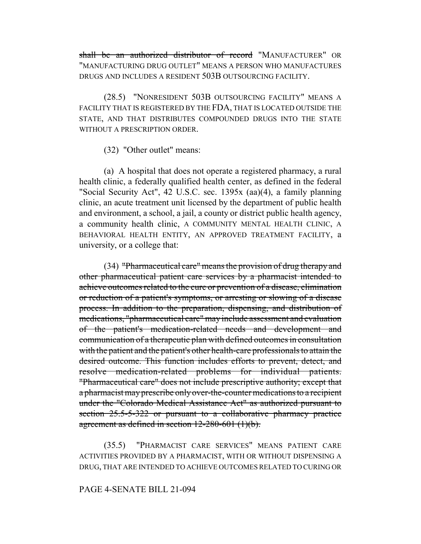shall be an authorized distributor of record "MANUFACTURER" OR "MANUFACTURING DRUG OUTLET" MEANS A PERSON WHO MANUFACTURES DRUGS AND INCLUDES A RESIDENT 503B OUTSOURCING FACILITY.

(28.5) "NONRESIDENT 503B OUTSOURCING FACILITY" MEANS A FACILITY THAT IS REGISTERED BY THE FDA, THAT IS LOCATED OUTSIDE THE STATE, AND THAT DISTRIBUTES COMPOUNDED DRUGS INTO THE STATE WITHOUT A PRESCRIPTION ORDER.

(32) "Other outlet" means:

(a) A hospital that does not operate a registered pharmacy, a rural health clinic, a federally qualified health center, as defined in the federal "Social Security Act", 42 U.S.C. sec. 1395x (aa)(4), a family planning clinic, an acute treatment unit licensed by the department of public health and environment, a school, a jail, a county or district public health agency, a community health clinic, A COMMUNITY MENTAL HEALTH CLINIC, A BEHAVIORAL HEALTH ENTITY, AN APPROVED TREATMENT FACILITY, a university, or a college that:

(34) "Pharmaceutical care" means the provision of drug therapy and other pharmaceutical patient care services by a pharmacist intended to achieve outcomes related to the cure or prevention of a disease, elimination or reduction of a patient's symptoms, or arresting or slowing of a disease process. In addition to the preparation, dispensing, and distribution of medications, "pharmaceutical care" may include assessment and evaluation of the patient's medication-related needs and development and communication of a therapeutic plan with defined outcomes in consultation with the patient and the patient's other health-care professionals to attain the desired outcome. This function includes efforts to prevent, detect, and resolve medication-related problems for individual patients. "Pharmaceutical care" does not include prescriptive authority; except that a pharmacist may prescribe only over-the-counter medications to a recipient under the "Colorado Medical Assistance Act" as authorized pursuant to section 25.5-5-322 or pursuant to a collaborative pharmacy practice agreement as defined in section 12-280-601 (1)(b).

(35.5) "PHARMACIST CARE SERVICES" MEANS PATIENT CARE ACTIVITIES PROVIDED BY A PHARMACIST, WITH OR WITHOUT DISPENSING A DRUG, THAT ARE INTENDED TO ACHIEVE OUTCOMES RELATED TO CURING OR

### PAGE 4-SENATE BILL 21-094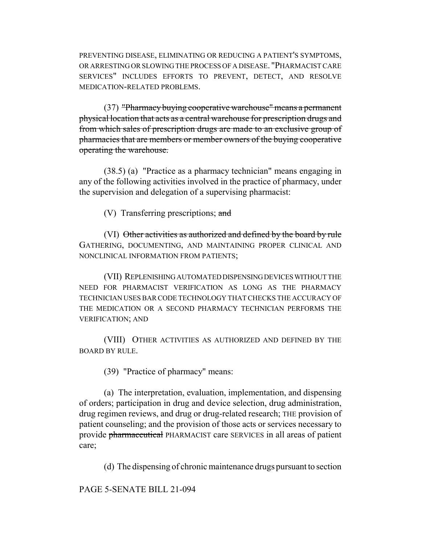PREVENTING DISEASE, ELIMINATING OR REDUCING A PATIENT'S SYMPTOMS, OR ARRESTING OR SLOWING THE PROCESS OF A DISEASE. "PHARMACIST CARE SERVICES" INCLUDES EFFORTS TO PREVENT, DETECT, AND RESOLVE MEDICATION-RELATED PROBLEMS.

(37) "Pharmacy buying cooperative warehouse" means a permanent physical location that acts as a central warehouse for prescription drugs and from which sales of prescription drugs are made to an exclusive group of pharmacies that are members or member owners of the buying cooperative operating the warehouse.

(38.5) (a) "Practice as a pharmacy technician" means engaging in any of the following activities involved in the practice of pharmacy, under the supervision and delegation of a supervising pharmacist:

 $(V)$  Transferring prescriptions; and

(VI) Other activities as authorized and defined by the board by rule GATHERING, DOCUMENTING, AND MAINTAINING PROPER CLINICAL AND NONCLINICAL INFORMATION FROM PATIENTS;

(VII) REPLENISHING AUTOMATED DISPENSING DEVICES WITHOUT THE NEED FOR PHARMACIST VERIFICATION AS LONG AS THE PHARMACY TECHNICIAN USES BAR CODE TECHNOLOGY THAT CHECKS THE ACCURACY OF THE MEDICATION OR A SECOND PHARMACY TECHNICIAN PERFORMS THE VERIFICATION; AND

(VIII) OTHER ACTIVITIES AS AUTHORIZED AND DEFINED BY THE BOARD BY RULE.

(39) "Practice of pharmacy" means:

(a) The interpretation, evaluation, implementation, and dispensing of orders; participation in drug and device selection, drug administration, drug regimen reviews, and drug or drug-related research; THE provision of patient counseling; and the provision of those acts or services necessary to provide pharmaceutical PHARMACIST care SERVICES in all areas of patient care;

(d) The dispensing of chronic maintenance drugs pursuant to section

PAGE 5-SENATE BILL 21-094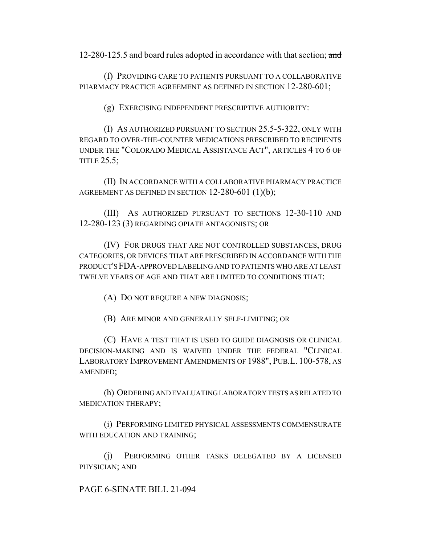12-280-125.5 and board rules adopted in accordance with that section; and

(f) PROVIDING CARE TO PATIENTS PURSUANT TO A COLLABORATIVE PHARMACY PRACTICE AGREEMENT AS DEFINED IN SECTION 12-280-601;

(g) EXERCISING INDEPENDENT PRESCRIPTIVE AUTHORITY:

(I) AS AUTHORIZED PURSUANT TO SECTION 25.5-5-322, ONLY WITH REGARD TO OVER-THE-COUNTER MEDICATIONS PRESCRIBED TO RECIPIENTS UNDER THE "COLORADO MEDICAL ASSISTANCE ACT", ARTICLES 4 TO 6 OF TITLE 25.5;

(II) IN ACCORDANCE WITH A COLLABORATIVE PHARMACY PRACTICE AGREEMENT AS DEFINED IN SECTION 12-280-601 (1)(b);

(III) AS AUTHORIZED PURSUANT TO SECTIONS 12-30-110 AND 12-280-123 (3) REGARDING OPIATE ANTAGONISTS; OR

(IV) FOR DRUGS THAT ARE NOT CONTROLLED SUBSTANCES, DRUG CATEGORIES, OR DEVICES THAT ARE PRESCRIBED IN ACCORDANCE WITH THE PRODUCT'S FDA-APPROVED LABELING AND TO PATIENTS WHO ARE AT LEAST TWELVE YEARS OF AGE AND THAT ARE LIMITED TO CONDITIONS THAT:

(A) DO NOT REQUIRE A NEW DIAGNOSIS;

(B) ARE MINOR AND GENERALLY SELF-LIMITING; OR

(C) HAVE A TEST THAT IS USED TO GUIDE DIAGNOSIS OR CLINICAL DECISION-MAKING AND IS WAIVED UNDER THE FEDERAL "CLINICAL LABORATORY IMPROVEMENT AMENDMENTS OF 1988", PUB.L. 100-578, AS AMENDED;

(h) ORDERING AND EVALUATING LABORATORY TESTS AS RELATED TO MEDICATION THERAPY;

(i) PERFORMING LIMITED PHYSICAL ASSESSMENTS COMMENSURATE WITH EDUCATION AND TRAINING;

(j) PERFORMING OTHER TASKS DELEGATED BY A LICENSED PHYSICIAN; AND

PAGE 6-SENATE BILL 21-094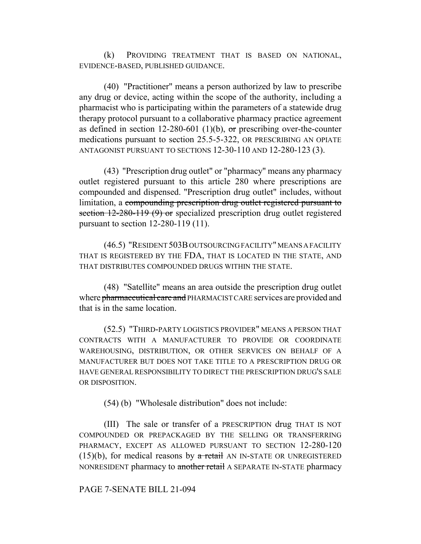(k) PROVIDING TREATMENT THAT IS BASED ON NATIONAL, EVIDENCE-BASED, PUBLISHED GUIDANCE.

(40) "Practitioner" means a person authorized by law to prescribe any drug or device, acting within the scope of the authority, including a pharmacist who is participating within the parameters of a statewide drug therapy protocol pursuant to a collaborative pharmacy practice agreement as defined in section 12-280-601 (1)(b), or prescribing over-the-counter medications pursuant to section 25.5-5-322, OR PRESCRIBING AN OPIATE ANTAGONIST PURSUANT TO SECTIONS 12-30-110 AND 12-280-123 (3).

(43) "Prescription drug outlet" or "pharmacy" means any pharmacy outlet registered pursuant to this article 280 where prescriptions are compounded and dispensed. "Prescription drug outlet" includes, without limitation, a compounding prescription drug outlet registered pursuant to section 12-280-119 (9) or specialized prescription drug outlet registered pursuant to section 12-280-119 (11).

(46.5) "RESIDENT 503B OUTSOURCING FACILITY" MEANS A FACILITY THAT IS REGISTERED BY THE FDA, THAT IS LOCATED IN THE STATE, AND THAT DISTRIBUTES COMPOUNDED DRUGS WITHIN THE STATE.

(48) "Satellite" means an area outside the prescription drug outlet where pharmaceutical care and PHARMACIST CARE services are provided and that is in the same location.

(52.5) "THIRD-PARTY LOGISTICS PROVIDER" MEANS A PERSON THAT CONTRACTS WITH A MANUFACTURER TO PROVIDE OR COORDINATE WAREHOUSING, DISTRIBUTION, OR OTHER SERVICES ON BEHALF OF A MANUFACTURER BUT DOES NOT TAKE TITLE TO A PRESCRIPTION DRUG OR HAVE GENERAL RESPONSIBILITY TO DIRECT THE PRESCRIPTION DRUG'S SALE OR DISPOSITION.

(54) (b) "Wholesale distribution" does not include:

(III) The sale or transfer of a PRESCRIPTION drug THAT IS NOT COMPOUNDED OR PREPACKAGED BY THE SELLING OR TRANSFERRING PHARMACY, EXCEPT AS ALLOWED PURSUANT TO SECTION 12-280-120  $(15)(b)$ , for medical reasons by a retail AN IN-STATE OR UNREGISTERED NONRESIDENT pharmacy to another retail A SEPARATE IN-STATE pharmacy

PAGE 7-SENATE BILL 21-094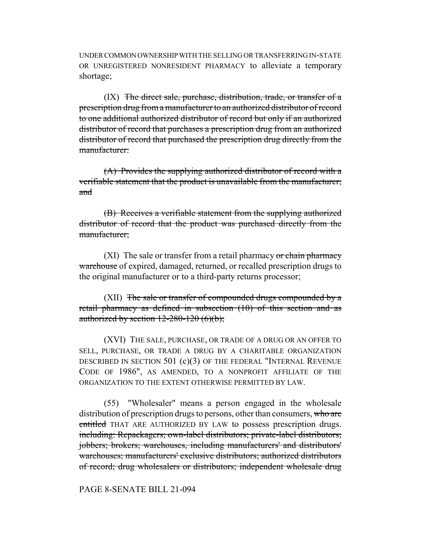UNDER COMMON OWNERSHIP WITH THE SELLING OR TRANSFERRING IN-STATE OR UNREGISTERED NONRESIDENT PHARMACY to alleviate a temporary shortage;

 $(IX)$  The direct sale, purchase, distribution, trade, or transfer of a prescription drug from a manufacturer to an authorized distributor of record to one additional authorized distributor of record but only if an authorized distributor of record that purchases a prescription drug from an authorized distributor of record that purchased the prescription drug directly from the manufacturer:

(A) Provides the supplying authorized distributor of record with a verifiable statement that the product is unavailable from the manufacturer; and

(B) Receives a verifiable statement from the supplying authorized distributor of record that the product was purchased directly from the manufacturer;

 $(XI)$  The sale or transfer from a retail pharmacy or chain pharmacy warehouse of expired, damaged, returned, or recalled prescription drugs to the original manufacturer or to a third-party returns processor;

(XII) The sale or transfer of compounded drugs compounded by a retail pharmacy as defined in subsection (10) of this section and as authorized by section  $12-280-120$  (6)(b);

(XVI) THE SALE, PURCHASE, OR TRADE OF A DRUG OR AN OFFER TO SELL, PURCHASE, OR TRADE A DRUG BY A CHARITABLE ORGANIZATION DESCRIBED IN SECTION 501 (c)(3) OF THE FEDERAL "INTERNAL REVENUE CODE OF 1986", AS AMENDED, TO A NONPROFIT AFFILIATE OF THE ORGANIZATION TO THE EXTENT OTHERWISE PERMITTED BY LAW.

(55) "Wholesaler" means a person engaged in the wholesale distribution of prescription drugs to persons, other than consumers, who are entitled THAT ARE AUTHORIZED BY LAW to possess prescription drugs. including: Repackagers; own-label distributors; private-label distributors; jobbers; brokers; warehouses, including manufacturers' and distributors' warehouses; manufacturers' exclusive distributors; authorized distributors of record; drug wholesalers or distributors; independent wholesale drug

#### PAGE 8-SENATE BILL 21-094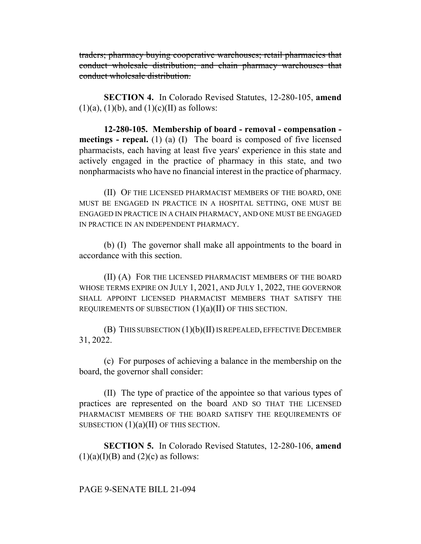traders; pharmacy buying cooperative warehouses; retail pharmacies that conduct wholesale distribution; and chain pharmacy warehouses that conduct wholesale distribution.

**SECTION 4.** In Colorado Revised Statutes, 12-280-105, **amend**  $(1)(a)$ ,  $(1)(b)$ , and  $(1)(c)(II)$  as follows:

**12-280-105. Membership of board - removal - compensation meetings - repeal.** (1) (a) (I) The board is composed of five licensed pharmacists, each having at least five years' experience in this state and actively engaged in the practice of pharmacy in this state, and two nonpharmacists who have no financial interest in the practice of pharmacy.

(II) OF THE LICENSED PHARMACIST MEMBERS OF THE BOARD, ONE MUST BE ENGAGED IN PRACTICE IN A HOSPITAL SETTING, ONE MUST BE ENGAGED IN PRACTICE IN A CHAIN PHARMACY, AND ONE MUST BE ENGAGED IN PRACTICE IN AN INDEPENDENT PHARMACY.

(b) (I) The governor shall make all appointments to the board in accordance with this section.

(II) (A) FOR THE LICENSED PHARMACIST MEMBERS OF THE BOARD WHOSE TERMS EXPIRE ON JULY 1, 2021, AND JULY 1, 2022, THE GOVERNOR SHALL APPOINT LICENSED PHARMACIST MEMBERS THAT SATISFY THE REQUIREMENTS OF SUBSECTION  $(1)(a)(II)$  OF THIS SECTION.

(B) THIS SUBSECTION (1)(b)(II) IS REPEALED, EFFECTIVE DECEMBER 31, 2022.

(c) For purposes of achieving a balance in the membership on the board, the governor shall consider:

(II) The type of practice of the appointee so that various types of practices are represented on the board AND SO THAT THE LICENSED PHARMACIST MEMBERS OF THE BOARD SATISFY THE REQUIREMENTS OF SUBSECTION  $(1)(a)(II)$  OF THIS SECTION.

**SECTION 5.** In Colorado Revised Statutes, 12-280-106, **amend**  $(1)(a)(I)(B)$  and  $(2)(c)$  as follows:

# PAGE 9-SENATE BILL 21-094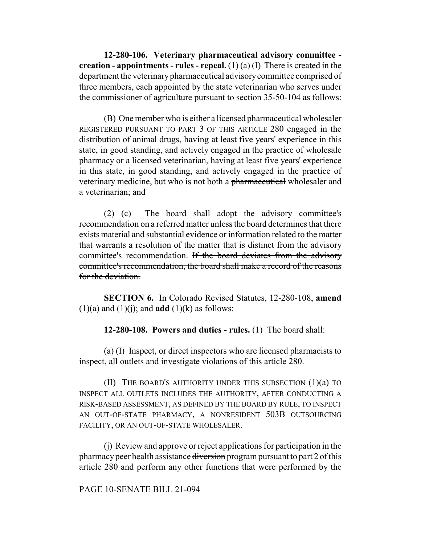**12-280-106. Veterinary pharmaceutical advisory committee creation - appointments - rules - repeal.** (1) (a) (I) There is created in the department the veterinary pharmaceutical advisory committee comprised of three members, each appointed by the state veterinarian who serves under the commissioner of agriculture pursuant to section 35-50-104 as follows:

(B) One member who is either a licensed pharmaceutical wholesaler REGISTERED PURSUANT TO PART 3 OF THIS ARTICLE 280 engaged in the distribution of animal drugs, having at least five years' experience in this state, in good standing, and actively engaged in the practice of wholesale pharmacy or a licensed veterinarian, having at least five years' experience in this state, in good standing, and actively engaged in the practice of veterinary medicine, but who is not both a pharmaceutical wholesaler and a veterinarian; and

(2) (c) The board shall adopt the advisory committee's recommendation on a referred matter unless the board determines that there exists material and substantial evidence or information related to the matter that warrants a resolution of the matter that is distinct from the advisory committee's recommendation. If the board deviates from the advisory committee's recommendation, the board shall make a record of the reasons for the deviation.

**SECTION 6.** In Colorado Revised Statutes, 12-280-108, **amend**  $(1)(a)$  and  $(1)(j)$ ; and **add**  $(1)(k)$  as follows:

**12-280-108. Powers and duties - rules.** (1) The board shall:

(a) (I) Inspect, or direct inspectors who are licensed pharmacists to inspect, all outlets and investigate violations of this article 280.

(II) THE BOARD'S AUTHORITY UNDER THIS SUBSECTION (1)(a) TO INSPECT ALL OUTLETS INCLUDES THE AUTHORITY, AFTER CONDUCTING A RISK-BASED ASSESSMENT, AS DEFINED BY THE BOARD BY RULE, TO INSPECT AN OUT-OF-STATE PHARMACY, A NONRESIDENT 503B OUTSOURCING FACILITY, OR AN OUT-OF-STATE WHOLESALER.

(j) Review and approve or reject applications for participation in the pharmacy peer health assistance diversion program pursuant to part 2 of this article 280 and perform any other functions that were performed by the

## PAGE 10-SENATE BILL 21-094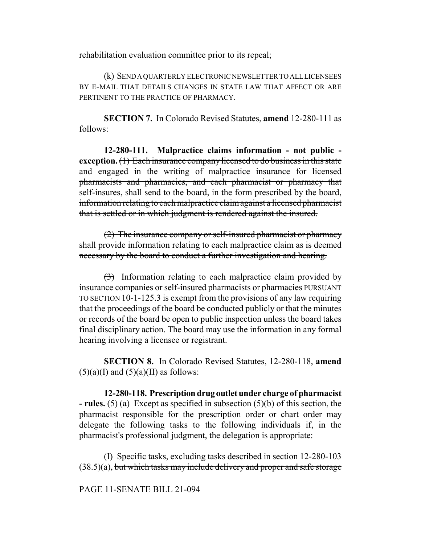rehabilitation evaluation committee prior to its repeal;

(k) SEND A QUARTERLY ELECTRONIC NEWSLETTER TO ALL LICENSEES BY E-MAIL THAT DETAILS CHANGES IN STATE LAW THAT AFFECT OR ARE PERTINENT TO THE PRACTICE OF PHARMACY.

**SECTION 7.** In Colorado Revised Statutes, **amend** 12-280-111 as follows:

**12-280-111. Malpractice claims information - not public exception.** (1) Each insurance company licensed to do business in this state and engaged in the writing of malpractice insurance for licensed pharmacists and pharmacies, and each pharmacist or pharmacy that self-insures, shall send to the board, in the form prescribed by the board, information relating to each malpractice claim against a licensed pharmacist that is settled or in which judgment is rendered against the insured.

(2) The insurance company or self-insured pharmacist or pharmacy shall provide information relating to each malpractice claim as is deemed necessary by the board to conduct a further investigation and hearing.

 $\left(\frac{3}{2}\right)$  Information relating to each malpractice claim provided by insurance companies or self-insured pharmacists or pharmacies PURSUANT TO SECTION 10-1-125.3 is exempt from the provisions of any law requiring that the proceedings of the board be conducted publicly or that the minutes or records of the board be open to public inspection unless the board takes final disciplinary action. The board may use the information in any formal hearing involving a licensee or registrant.

**SECTION 8.** In Colorado Revised Statutes, 12-280-118, **amend**  $(5)(a)$ (I) and  $(5)(a)$ (II) as follows:

**12-280-118. Prescription drug outlet under charge of pharmacist - rules.** (5) (a) Except as specified in subsection (5)(b) of this section, the pharmacist responsible for the prescription order or chart order may delegate the following tasks to the following individuals if, in the pharmacist's professional judgment, the delegation is appropriate:

(I) Specific tasks, excluding tasks described in section 12-280-103  $(38.5)(a)$ , but which tasks may include delivery and proper and safe storage

### PAGE 11-SENATE BILL 21-094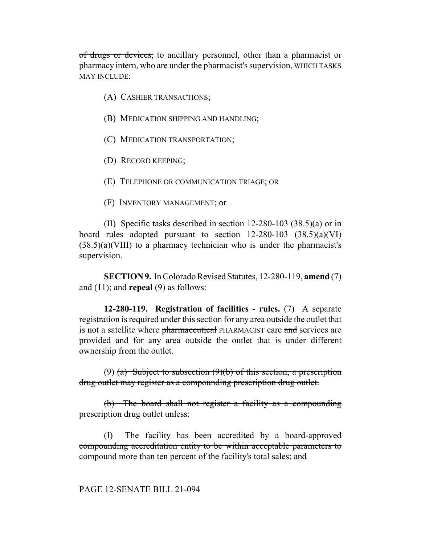of drugs or devices, to ancillary personnel, other than a pharmacist or pharmacy intern, who are under the pharmacist's supervision, WHICH TASKS MAY INCLUDE:

- (A) CASHIER TRANSACTIONS;
- (B) MEDICATION SHIPPING AND HANDLING;
- (C) MEDICATION TRANSPORTATION;
- (D) RECORD KEEPING;
- (E) TELEPHONE OR COMMUNICATION TRIAGE; OR
- (F) INVENTORY MANAGEMENT; or

(II) Specific tasks described in section 12-280-103 (38.5)(a) or in board rules adopted pursuant to section  $12{\text -}280{\text -}103 \text{ (38.5)}(a)(\text{V})$ (38.5)(a)(VIII) to a pharmacy technician who is under the pharmacist's supervision.

**SECTION 9.** In Colorado Revised Statutes, 12-280-119, **amend** (7) and (11); and **repeal** (9) as follows:

**12-280-119. Registration of facilities - rules.** (7) A separate registration is required under this section for any area outside the outlet that is not a satellite where pharmaceutical PHARMACIST care and services are provided and for any area outside the outlet that is under different ownership from the outlet.

(9) (a) Subject to subsection  $(9)(b)$  of this section, a prescription drug outlet may register as a compounding prescription drug outlet.

(b) The board shall not register a facility as a compounding prescription drug outlet unless:

(I) The facility has been accredited by a board-approved compounding accreditation entity to be within acceptable parameters to compound more than ten percent of the facility's total sales; and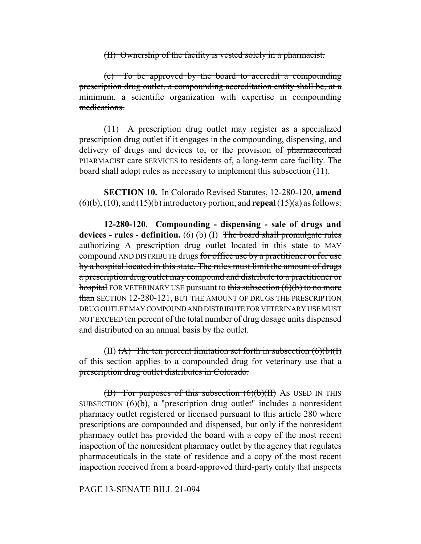(II) Ownership of the facility is vested solely in a pharmacist.

(c) To be approved by the board to accredit a compounding prescription drug outlet, a compounding accreditation entity shall be, at a minimum, a scientific organization with expertise in compounding medications.

(11) A prescription drug outlet may register as a specialized prescription drug outlet if it engages in the compounding, dispensing, and delivery of drugs and devices to, or the provision of pharmaceutical PHARMACIST care SERVICES to residents of, a long-term care facility. The board shall adopt rules as necessary to implement this subsection (11).

**SECTION 10.** In Colorado Revised Statutes, 12-280-120, **amend** (6)(b), (10), and (15)(b) introductory portion; and **repeal** (15)(a) as follows:

**12-280-120. Compounding - dispensing - sale of drugs and devices - rules - definition.** (6) (b) (I) The board shall promulgate rules authorizing A prescription drug outlet located in this state to MAY compound AND DISTRIBUTE drugs for office use by a practitioner or for use by a hospital located in this state. The rules must limit the amount of drugs a prescription drug outlet may compound and distribute to a practitioner or hospital FOR VETERINARY USE pursuant to this subsection  $(6)(b)$  to no more than SECTION 12-280-121, BUT THE AMOUNT OF DRUGS THE PRESCRIPTION DRUG OUTLET MAY COMPOUND AND DISTRIBUTE FOR VETERINARY USE MUST NOT EXCEED ten percent of the total number of drug dosage units dispensed and distributed on an annual basis by the outlet.

(II)  $(A)$  The ten percent limitation set forth in subsection  $(6)(b)(I)$ of this section applies to a compounded drug for veterinary use that a prescription drug outlet distributes in Colorado.

 $(B)$  For purposes of this subsection  $(6)(b)(H)$  As USED IN THIS SUBSECTION (6)(b), a "prescription drug outlet" includes a nonresident pharmacy outlet registered or licensed pursuant to this article 280 where prescriptions are compounded and dispensed, but only if the nonresident pharmacy outlet has provided the board with a copy of the most recent inspection of the nonresident pharmacy outlet by the agency that regulates pharmaceuticals in the state of residence and a copy of the most recent inspection received from a board-approved third-party entity that inspects

### PAGE 13-SENATE BILL 21-094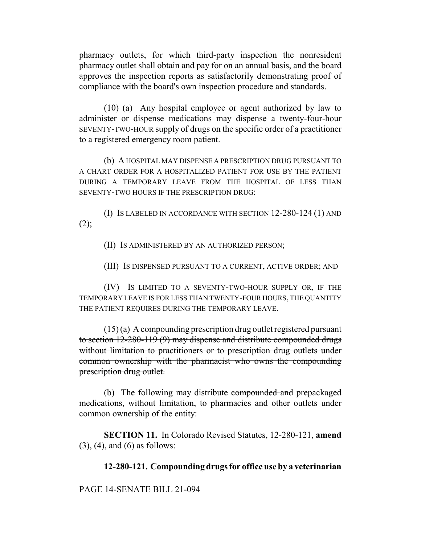pharmacy outlets, for which third-party inspection the nonresident pharmacy outlet shall obtain and pay for on an annual basis, and the board approves the inspection reports as satisfactorily demonstrating proof of compliance with the board's own inspection procedure and standards.

(10) (a) Any hospital employee or agent authorized by law to administer or dispense medications may dispense a twenty-four-hour SEVENTY-TWO-HOUR supply of drugs on the specific order of a practitioner to a registered emergency room patient.

(b) A HOSPITAL MAY DISPENSE A PRESCRIPTION DRUG PURSUANT TO A CHART ORDER FOR A HOSPITALIZED PATIENT FOR USE BY THE PATIENT DURING A TEMPORARY LEAVE FROM THE HOSPITAL OF LESS THAN SEVENTY-TWO HOURS IF THE PRESCRIPTION DRUG:

(I) IS LABELED IN ACCORDANCE WITH SECTION 12-280-124 (1) AND  $(2)$ ;

(II) IS ADMINISTERED BY AN AUTHORIZED PERSON;

(III) IS DISPENSED PURSUANT TO A CURRENT, ACTIVE ORDER; AND

(IV) IS LIMITED TO A SEVENTY-TWO-HOUR SUPPLY OR, IF THE TEMPORARY LEAVE IS FOR LESS THAN TWENTY-FOUR HOURS, THE QUANTITY THE PATIENT REQUIRES DURING THE TEMPORARY LEAVE.

 $(15)$  (a) A compounding prescription drug outlet registered pursuant to section 12-280-119 (9) may dispense and distribute compounded drugs without limitation to practitioners or to prescription drug outlets under common ownership with the pharmacist who owns the compounding prescription drug outlet.

(b) The following may distribute compounded and prepackaged medications, without limitation, to pharmacies and other outlets under common ownership of the entity:

**SECTION 11.** In Colorado Revised Statutes, 12-280-121, **amend** (3), (4), and (6) as follows:

# **12-280-121. Compounding drugs for office use by a veterinarian**

PAGE 14-SENATE BILL 21-094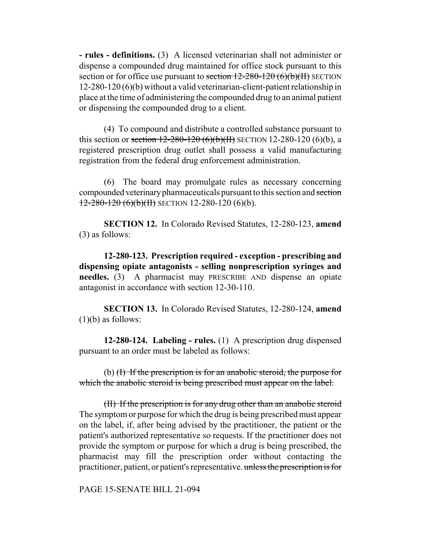**- rules - definitions.** (3) A licensed veterinarian shall not administer or dispense a compounded drug maintained for office stock pursuant to this section or for office use pursuant to section  $12-280-120$  (6)(b)(II) SECTION 12-280-120 (6)(b) without a valid veterinarian-client-patient relationship in place at the time of administering the compounded drug to an animal patient or dispensing the compounded drug to a client.

(4) To compound and distribute a controlled substance pursuant to this section or section  $12-280-120$  (6)(b)(II) SECTION 12-280-120 (6)(b), a registered prescription drug outlet shall possess a valid manufacturing registration from the federal drug enforcement administration.

(6) The board may promulgate rules as necessary concerning compounded veterinary pharmaceuticals pursuant to this section and section  $12-280-120$  (6)(b)(II) SECTION 12-280-120 (6)(b).

**SECTION 12.** In Colorado Revised Statutes, 12-280-123, **amend** (3) as follows:

**12-280-123. Prescription required - exception - prescribing and dispensing opiate antagonists - selling nonprescription syringes and needles.** (3) A pharmacist may PRESCRIBE AND dispense an opiate antagonist in accordance with section 12-30-110.

**SECTION 13.** In Colorado Revised Statutes, 12-280-124, **amend** (1)(b) as follows:

**12-280-124. Labeling - rules.** (1) A prescription drug dispensed pursuant to an order must be labeled as follows:

(b) (I) If the prescription is for an anabolic steroid, the purpose for which the anabolic steroid is being prescribed must appear on the label.

(II) If the prescription is for any drug other than an anabolic steroid The symptom or purpose for which the drug is being prescribed must appear on the label, if, after being advised by the practitioner, the patient or the patient's authorized representative so requests. If the practitioner does not provide the symptom or purpose for which a drug is being prescribed, the pharmacist may fill the prescription order without contacting the practitioner, patient, or patient's representative. unless the prescription is for

PAGE 15-SENATE BILL 21-094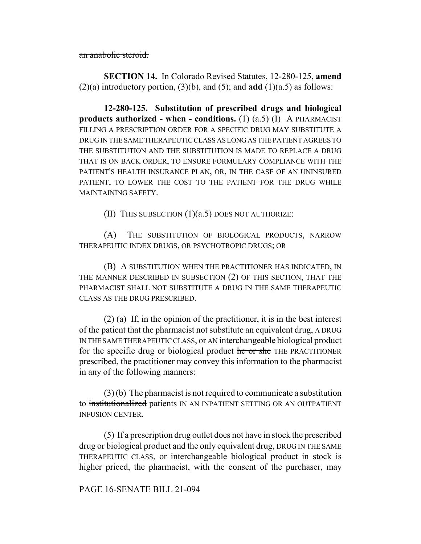an anabolic steroid.

**SECTION 14.** In Colorado Revised Statutes, 12-280-125, **amend**  $(2)(a)$  introductory portion,  $(3)(b)$ , and  $(5)$ ; and **add**  $(1)(a.5)$  as follows:

**12-280-125. Substitution of prescribed drugs and biological products authorized - when - conditions.** (1) (a.5) (I) A PHARMACIST FILLING A PRESCRIPTION ORDER FOR A SPECIFIC DRUG MAY SUBSTITUTE A DRUG IN THE SAME THERAPEUTIC CLASS AS LONG AS THE PATIENT AGREES TO THE SUBSTITUTION AND THE SUBSTITUTION IS MADE TO REPLACE A DRUG THAT IS ON BACK ORDER, TO ENSURE FORMULARY COMPLIANCE WITH THE PATIENT'S HEALTH INSURANCE PLAN, OR, IN THE CASE OF AN UNINSURED PATIENT, TO LOWER THE COST TO THE PATIENT FOR THE DRUG WHILE MAINTAINING SAFETY.

(II) THIS SUBSECTION  $(1)(a.5)$  DOES NOT AUTHORIZE:

(A) THE SUBSTITUTION OF BIOLOGICAL PRODUCTS, NARROW THERAPEUTIC INDEX DRUGS, OR PSYCHOTROPIC DRUGS; OR

(B) A SUBSTITUTION WHEN THE PRACTITIONER HAS INDICATED, IN THE MANNER DESCRIBED IN SUBSECTION (2) OF THIS SECTION, THAT THE PHARMACIST SHALL NOT SUBSTITUTE A DRUG IN THE SAME THERAPEUTIC CLASS AS THE DRUG PRESCRIBED.

(2) (a) If, in the opinion of the practitioner, it is in the best interest of the patient that the pharmacist not substitute an equivalent drug, A DRUG IN THE SAME THERAPEUTIC CLASS, or AN interchangeable biological product for the specific drug or biological product he or she THE PRACTITIONER prescribed, the practitioner may convey this information to the pharmacist in any of the following manners:

(3) (b) The pharmacist is not required to communicate a substitution to institutionalized patients IN AN INPATIENT SETTING OR AN OUTPATIENT INFUSION CENTER.

(5) If a prescription drug outlet does not have in stock the prescribed drug or biological product and the only equivalent drug, DRUG IN THE SAME THERAPEUTIC CLASS, or interchangeable biological product in stock is higher priced, the pharmacist, with the consent of the purchaser, may

# PAGE 16-SENATE BILL 21-094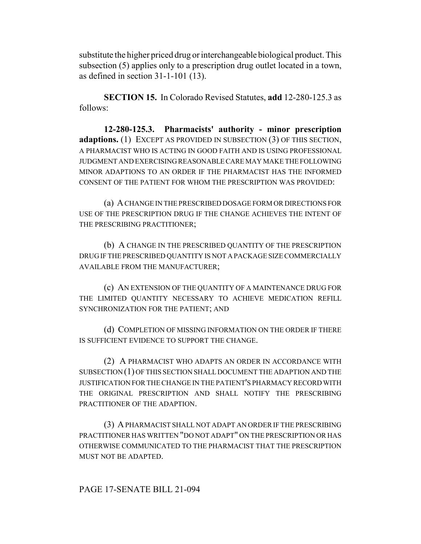substitute the higher priced drug or interchangeable biological product. This subsection (5) applies only to a prescription drug outlet located in a town, as defined in section 31-1-101 (13).

**SECTION 15.** In Colorado Revised Statutes, **add** 12-280-125.3 as follows:

**12-280-125.3. Pharmacists' authority - minor prescription adaptions.** (1) EXCEPT AS PROVIDED IN SUBSECTION (3) OF THIS SECTION, A PHARMACIST WHO IS ACTING IN GOOD FAITH AND IS USING PROFESSIONAL JUDGMENT AND EXERCISING REASONABLE CARE MAY MAKE THE FOLLOWING MINOR ADAPTIONS TO AN ORDER IF THE PHARMACIST HAS THE INFORMED CONSENT OF THE PATIENT FOR WHOM THE PRESCRIPTION WAS PROVIDED:

(a) A CHANGE IN THE PRESCRIBED DOSAGE FORM OR DIRECTIONS FOR USE OF THE PRESCRIPTION DRUG IF THE CHANGE ACHIEVES THE INTENT OF THE PRESCRIBING PRACTITIONER;

(b) A CHANGE IN THE PRESCRIBED QUANTITY OF THE PRESCRIPTION DRUG IF THE PRESCRIBED QUANTITY IS NOT A PACKAGE SIZE COMMERCIALLY AVAILABLE FROM THE MANUFACTURER;

(c) AN EXTENSION OF THE QUANTITY OF A MAINTENANCE DRUG FOR THE LIMITED QUANTITY NECESSARY TO ACHIEVE MEDICATION REFILL SYNCHRONIZATION FOR THE PATIENT; AND

(d) COMPLETION OF MISSING INFORMATION ON THE ORDER IF THERE IS SUFFICIENT EVIDENCE TO SUPPORT THE CHANGE.

(2) A PHARMACIST WHO ADAPTS AN ORDER IN ACCORDANCE WITH SUBSECTION (1) OF THIS SECTION SHALL DOCUMENT THE ADAPTION AND THE JUSTIFICATION FOR THE CHANGE IN THE PATIENT'S PHARMACY RECORD WITH THE ORIGINAL PRESCRIPTION AND SHALL NOTIFY THE PRESCRIBING PRACTITIONER OF THE ADAPTION.

(3) A PHARMACIST SHALL NOT ADAPT AN ORDER IF THE PRESCRIBING PRACTITIONER HAS WRITTEN "DO NOT ADAPT" ON THE PRESCRIPTION OR HAS OTHERWISE COMMUNICATED TO THE PHARMACIST THAT THE PRESCRIPTION MUST NOT BE ADAPTED.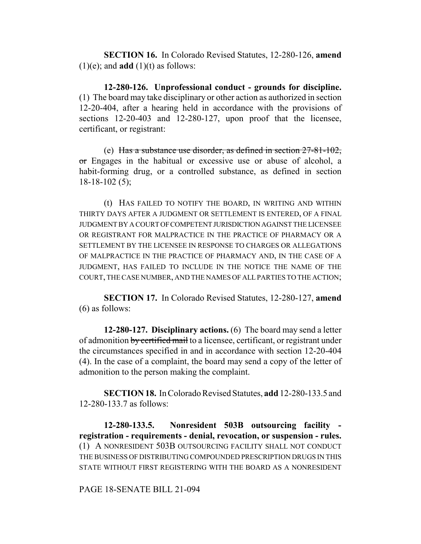**SECTION 16.** In Colorado Revised Statutes, 12-280-126, **amend**  $(1)(e)$ ; and **add**  $(1)(t)$  as follows:

**12-280-126. Unprofessional conduct - grounds for discipline.** (1) The board may take disciplinary or other action as authorized in section 12-20-404, after a hearing held in accordance with the provisions of sections 12-20-403 and 12-280-127, upon proof that the licensee, certificant, or registrant:

(e) Has a substance use disorder, as defined in section  $27-81-102$ , or Engages in the habitual or excessive use or abuse of alcohol, a habit-forming drug, or a controlled substance, as defined in section 18-18-102 (5);

(t) HAS FAILED TO NOTIFY THE BOARD, IN WRITING AND WITHIN THIRTY DAYS AFTER A JUDGMENT OR SETTLEMENT IS ENTERED, OF A FINAL JUDGMENT BY A COURT OF COMPETENT JURISDICTION AGAINST THE LICENSEE OR REGISTRANT FOR MALPRACTICE IN THE PRACTICE OF PHARMACY OR A SETTLEMENT BY THE LICENSEE IN RESPONSE TO CHARGES OR ALLEGATIONS OF MALPRACTICE IN THE PRACTICE OF PHARMACY AND, IN THE CASE OF A JUDGMENT, HAS FAILED TO INCLUDE IN THE NOTICE THE NAME OF THE COURT, THE CASE NUMBER, AND THE NAMES OF ALL PARTIES TO THE ACTION;

**SECTION 17.** In Colorado Revised Statutes, 12-280-127, **amend** (6) as follows:

**12-280-127. Disciplinary actions.** (6) The board may send a letter of admonition by certified mail to a licensee, certificant, or registrant under the circumstances specified in and in accordance with section 12-20-404 (4). In the case of a complaint, the board may send a copy of the letter of admonition to the person making the complaint.

**SECTION 18.** In Colorado Revised Statutes, **add** 12-280-133.5 and 12-280-133.7 as follows:

**12-280-133.5. Nonresident 503B outsourcing facility registration - requirements - denial, revocation, or suspension - rules.** (1) A NONRESIDENT 503B OUTSOURCING FACILITY SHALL NOT CONDUCT THE BUSINESS OF DISTRIBUTING COMPOUNDED PRESCRIPTION DRUGS IN THIS STATE WITHOUT FIRST REGISTERING WITH THE BOARD AS A NONRESIDENT

PAGE 18-SENATE BILL 21-094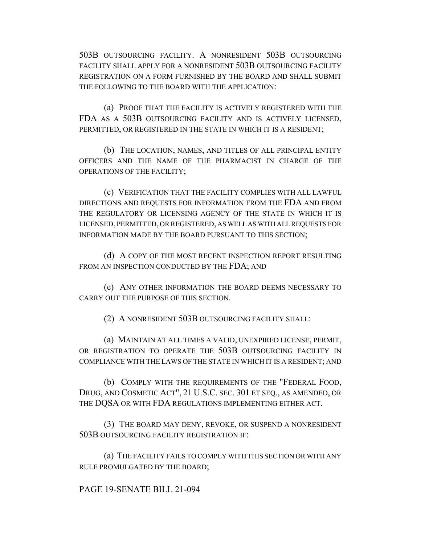503B OUTSOURCING FACILITY. A NONRESIDENT 503B OUTSOURCING FACILITY SHALL APPLY FOR A NONRESIDENT 503B OUTSOURCING FACILITY REGISTRATION ON A FORM FURNISHED BY THE BOARD AND SHALL SUBMIT THE FOLLOWING TO THE BOARD WITH THE APPLICATION:

(a) PROOF THAT THE FACILITY IS ACTIVELY REGISTERED WITH THE FDA AS A 503B OUTSOURCING FACILITY AND IS ACTIVELY LICENSED, PERMITTED, OR REGISTERED IN THE STATE IN WHICH IT IS A RESIDENT;

(b) THE LOCATION, NAMES, AND TITLES OF ALL PRINCIPAL ENTITY OFFICERS AND THE NAME OF THE PHARMACIST IN CHARGE OF THE OPERATIONS OF THE FACILITY;

(c) VERIFICATION THAT THE FACILITY COMPLIES WITH ALL LAWFUL DIRECTIONS AND REQUESTS FOR INFORMATION FROM THE FDA AND FROM THE REGULATORY OR LICENSING AGENCY OF THE STATE IN WHICH IT IS LICENSED, PERMITTED, OR REGISTERED, AS WELL AS WITH ALL REQUESTS FOR INFORMATION MADE BY THE BOARD PURSUANT TO THIS SECTION;

(d) A COPY OF THE MOST RECENT INSPECTION REPORT RESULTING FROM AN INSPECTION CONDUCTED BY THE FDA; AND

(e) ANY OTHER INFORMATION THE BOARD DEEMS NECESSARY TO CARRY OUT THE PURPOSE OF THIS SECTION.

(2) A NONRESIDENT 503B OUTSOURCING FACILITY SHALL:

(a) MAINTAIN AT ALL TIMES A VALID, UNEXPIRED LICENSE, PERMIT, OR REGISTRATION TO OPERATE THE 503B OUTSOURCING FACILITY IN COMPLIANCE WITH THE LAWS OF THE STATE IN WHICH IT IS A RESIDENT; AND

(b) COMPLY WITH THE REQUIREMENTS OF THE "FEDERAL FOOD, DRUG, AND COSMETIC ACT", 21 U.S.C. SEC. 301 ET SEQ., AS AMENDED, OR THE DQSA OR WITH FDA REGULATIONS IMPLEMENTING EITHER ACT.

(3) THE BOARD MAY DENY, REVOKE, OR SUSPEND A NONRESIDENT 503B OUTSOURCING FACILITY REGISTRATION IF:

(a) THE FACILITY FAILS TO COMPLY WITH THIS SECTION OR WITH ANY RULE PROMULGATED BY THE BOARD;

PAGE 19-SENATE BILL 21-094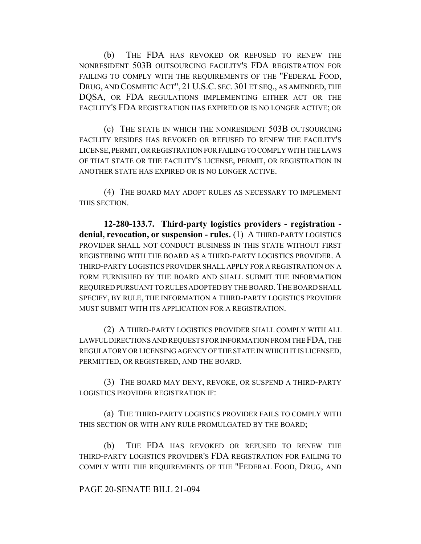(b) THE FDA HAS REVOKED OR REFUSED TO RENEW THE NONRESIDENT 503B OUTSOURCING FACILITY'S FDA REGISTRATION FOR FAILING TO COMPLY WITH THE REQUIREMENTS OF THE "FEDERAL FOOD, DRUG, AND COSMETIC ACT", 21 U.S.C. SEC. 301 ET SEQ., AS AMENDED, THE DQSA, OR FDA REGULATIONS IMPLEMENTING EITHER ACT OR THE FACILITY'S FDA REGISTRATION HAS EXPIRED OR IS NO LONGER ACTIVE; OR

(c) THE STATE IN WHICH THE NONRESIDENT 503B OUTSOURCING FACILITY RESIDES HAS REVOKED OR REFUSED TO RENEW THE FACILITY'S LICENSE, PERMIT, OR REGISTRATION FOR FAILING TO COMPLY WITH THE LAWS OF THAT STATE OR THE FACILITY'S LICENSE, PERMIT, OR REGISTRATION IN ANOTHER STATE HAS EXPIRED OR IS NO LONGER ACTIVE.

(4) THE BOARD MAY ADOPT RULES AS NECESSARY TO IMPLEMENT THIS SECTION.

**12-280-133.7. Third-party logistics providers - registration denial, revocation, or suspension - rules.** (1) A THIRD-PARTY LOGISTICS PROVIDER SHALL NOT CONDUCT BUSINESS IN THIS STATE WITHOUT FIRST REGISTERING WITH THE BOARD AS A THIRD-PARTY LOGISTICS PROVIDER. A THIRD-PARTY LOGISTICS PROVIDER SHALL APPLY FOR A REGISTRATION ON A FORM FURNISHED BY THE BOARD AND SHALL SUBMIT THE INFORMATION REQUIRED PURSUANT TO RULES ADOPTED BY THE BOARD. THE BOARD SHALL SPECIFY, BY RULE, THE INFORMATION A THIRD-PARTY LOGISTICS PROVIDER MUST SUBMIT WITH ITS APPLICATION FOR A REGISTRATION.

(2) A THIRD-PARTY LOGISTICS PROVIDER SHALL COMPLY WITH ALL LAWFUL DIRECTIONS AND REQUESTS FOR INFORMATION FROM THE FDA, THE REGULATORY OR LICENSING AGENCY OF THE STATE IN WHICH IT IS LICENSED, PERMITTED, OR REGISTERED, AND THE BOARD.

(3) THE BOARD MAY DENY, REVOKE, OR SUSPEND A THIRD-PARTY LOGISTICS PROVIDER REGISTRATION IF:

(a) THE THIRD-PARTY LOGISTICS PROVIDER FAILS TO COMPLY WITH THIS SECTION OR WITH ANY RULE PROMULGATED BY THE BOARD;

(b) THE FDA HAS REVOKED OR REFUSED TO RENEW THE THIRD-PARTY LOGISTICS PROVIDER'S FDA REGISTRATION FOR FAILING TO COMPLY WITH THE REQUIREMENTS OF THE "FEDERAL FOOD, DRUG, AND

## PAGE 20-SENATE BILL 21-094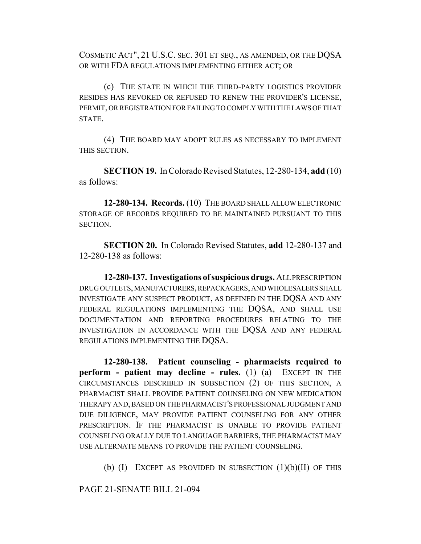COSMETIC ACT", 21 U.S.C. SEC. 301 ET SEQ., AS AMENDED, OR THE DQSA OR WITH FDA REGULATIONS IMPLEMENTING EITHER ACT; OR

(c) THE STATE IN WHICH THE THIRD-PARTY LOGISTICS PROVIDER RESIDES HAS REVOKED OR REFUSED TO RENEW THE PROVIDER'S LICENSE, PERMIT, OR REGISTRATION FOR FAILING TO COMPLY WITH THE LAWS OF THAT STATE.

(4) THE BOARD MAY ADOPT RULES AS NECESSARY TO IMPLEMENT THIS SECTION.

**SECTION 19.** In Colorado Revised Statutes, 12-280-134, **add** (10) as follows:

**12-280-134. Records.** (10) THE BOARD SHALL ALLOW ELECTRONIC STORAGE OF RECORDS REQUIRED TO BE MAINTAINED PURSUANT TO THIS SECTION.

**SECTION 20.** In Colorado Revised Statutes, **add** 12-280-137 and 12-280-138 as follows:

**12-280-137. Investigations of suspicious drugs.** ALL PRESCRIPTION DRUG OUTLETS, MANUFACTURERS, REPACKAGERS, AND WHOLESALERS SHALL INVESTIGATE ANY SUSPECT PRODUCT, AS DEFINED IN THE DQSA AND ANY FEDERAL REGULATIONS IMPLEMENTING THE DQSA, AND SHALL USE DOCUMENTATION AND REPORTING PROCEDURES RELATING TO THE INVESTIGATION IN ACCORDANCE WITH THE DQSA AND ANY FEDERAL REGULATIONS IMPLEMENTING THE DQSA.

**12-280-138. Patient counseling - pharmacists required to perform - patient may decline - rules.** (1) (a) EXCEPT IN THE CIRCUMSTANCES DESCRIBED IN SUBSECTION (2) OF THIS SECTION, A PHARMACIST SHALL PROVIDE PATIENT COUNSELING ON NEW MEDICATION THERAPY AND, BASED ON THE PHARMACIST'S PROFESSIONAL JUDGMENT AND DUE DILIGENCE, MAY PROVIDE PATIENT COUNSELING FOR ANY OTHER PRESCRIPTION. IF THE PHARMACIST IS UNABLE TO PROVIDE PATIENT COUNSELING ORALLY DUE TO LANGUAGE BARRIERS, THE PHARMACIST MAY USE ALTERNATE MEANS TO PROVIDE THE PATIENT COUNSELING.

(b)  $(I)$  EXCEPT AS PROVIDED IN SUBSECTION  $(1)(b)(II)$  OF THIS

PAGE 21-SENATE BILL 21-094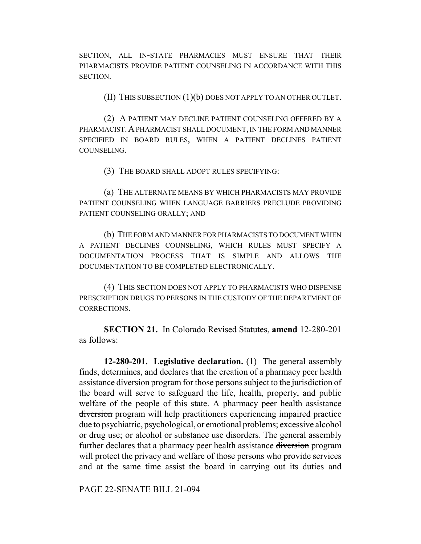SECTION, ALL IN-STATE PHARMACIES MUST ENSURE THAT THEIR PHARMACISTS PROVIDE PATIENT COUNSELING IN ACCORDANCE WITH THIS SECTION.

(II) THIS SUBSECTION (1)(b) DOES NOT APPLY TO AN OTHER OUTLET.

(2) A PATIENT MAY DECLINE PATIENT COUNSELING OFFERED BY A PHARMACIST.A PHARMACIST SHALL DOCUMENT, IN THE FORM AND MANNER SPECIFIED IN BOARD RULES, WHEN A PATIENT DECLINES PATIENT COUNSELING.

(3) THE BOARD SHALL ADOPT RULES SPECIFYING:

(a) THE ALTERNATE MEANS BY WHICH PHARMACISTS MAY PROVIDE PATIENT COUNSELING WHEN LANGUAGE BARRIERS PRECLUDE PROVIDING PATIENT COUNSELING ORALLY; AND

(b) THE FORM AND MANNER FOR PHARMACISTS TO DOCUMENT WHEN A PATIENT DECLINES COUNSELING, WHICH RULES MUST SPECIFY A DOCUMENTATION PROCESS THAT IS SIMPLE AND ALLOWS THE DOCUMENTATION TO BE COMPLETED ELECTRONICALLY.

(4) THIS SECTION DOES NOT APPLY TO PHARMACISTS WHO DISPENSE PRESCRIPTION DRUGS TO PERSONS IN THE CUSTODY OF THE DEPARTMENT OF CORRECTIONS.

**SECTION 21.** In Colorado Revised Statutes, **amend** 12-280-201 as follows:

**12-280-201. Legislative declaration.** (1) The general assembly finds, determines, and declares that the creation of a pharmacy peer health assistance diversion program for those persons subject to the jurisdiction of the board will serve to safeguard the life, health, property, and public welfare of the people of this state. A pharmacy peer health assistance diversion program will help practitioners experiencing impaired practice due to psychiatric, psychological, or emotional problems; excessive alcohol or drug use; or alcohol or substance use disorders. The general assembly further declares that a pharmacy peer health assistance diversion program will protect the privacy and welfare of those persons who provide services and at the same time assist the board in carrying out its duties and

PAGE 22-SENATE BILL 21-094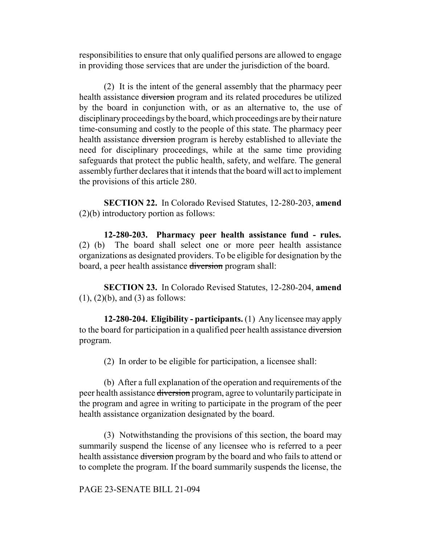responsibilities to ensure that only qualified persons are allowed to engage in providing those services that are under the jurisdiction of the board.

(2) It is the intent of the general assembly that the pharmacy peer health assistance diversion program and its related procedures be utilized by the board in conjunction with, or as an alternative to, the use of disciplinary proceedings by the board, which proceedings are by their nature time-consuming and costly to the people of this state. The pharmacy peer health assistance diversion program is hereby established to alleviate the need for disciplinary proceedings, while at the same time providing safeguards that protect the public health, safety, and welfare. The general assembly further declares that it intends that the board will act to implement the provisions of this article 280.

**SECTION 22.** In Colorado Revised Statutes, 12-280-203, **amend** (2)(b) introductory portion as follows:

**12-280-203. Pharmacy peer health assistance fund - rules.** (2) (b) The board shall select one or more peer health assistance organizations as designated providers. To be eligible for designation by the board, a peer health assistance diversion program shall:

**SECTION 23.** In Colorado Revised Statutes, 12-280-204, **amend**  $(1)$ ,  $(2)(b)$ , and  $(3)$  as follows:

**12-280-204. Eligibility - participants.** (1) Any licensee may apply to the board for participation in a qualified peer health assistance diversion program.

(2) In order to be eligible for participation, a licensee shall:

(b) After a full explanation of the operation and requirements of the peer health assistance diversion program, agree to voluntarily participate in the program and agree in writing to participate in the program of the peer health assistance organization designated by the board.

(3) Notwithstanding the provisions of this section, the board may summarily suspend the license of any licensee who is referred to a peer health assistance <del>diversion</del> program by the board and who fails to attend or to complete the program. If the board summarily suspends the license, the

PAGE 23-SENATE BILL 21-094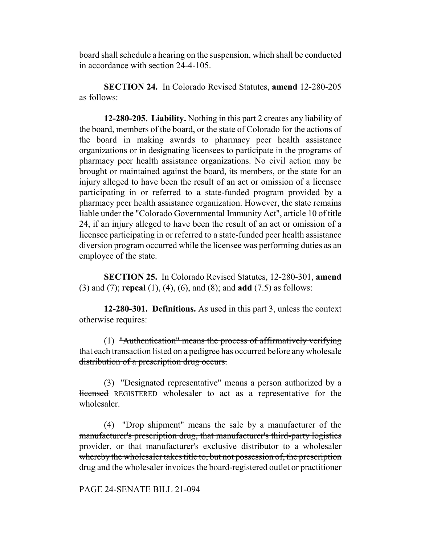board shall schedule a hearing on the suspension, which shall be conducted in accordance with section 24-4-105.

**SECTION 24.** In Colorado Revised Statutes, **amend** 12-280-205 as follows:

**12-280-205. Liability.** Nothing in this part 2 creates any liability of the board, members of the board, or the state of Colorado for the actions of the board in making awards to pharmacy peer health assistance organizations or in designating licensees to participate in the programs of pharmacy peer health assistance organizations. No civil action may be brought or maintained against the board, its members, or the state for an injury alleged to have been the result of an act or omission of a licensee participating in or referred to a state-funded program provided by a pharmacy peer health assistance organization. However, the state remains liable under the "Colorado Governmental Immunity Act", article 10 of title 24, if an injury alleged to have been the result of an act or omission of a licensee participating in or referred to a state-funded peer health assistance diversion program occurred while the licensee was performing duties as an employee of the state.

**SECTION 25.** In Colorado Revised Statutes, 12-280-301, **amend** (3) and (7); **repeal** (1), (4), (6), and (8); and **add** (7.5) as follows:

**12-280-301. Definitions.** As used in this part 3, unless the context otherwise requires:

(1) "Authentication" means the process of affirmatively verifying that each transaction listed on a pedigree has occurred before any wholesale distribution of a prescription drug occurs.

(3) "Designated representative" means a person authorized by a licensed REGISTERED wholesaler to act as a representative for the wholesaler.

(4) "Drop shipment" means the sale by a manufacturer of the manufacturer's prescription drug, that manufacturer's third-party logistics provider, or that manufacturer's exclusive distributor to a wholesaler whereby the wholesaler takes title to, but not possession of, the prescription drug and the wholesaler invoices the board-registered outlet or practitioner

### PAGE 24-SENATE BILL 21-094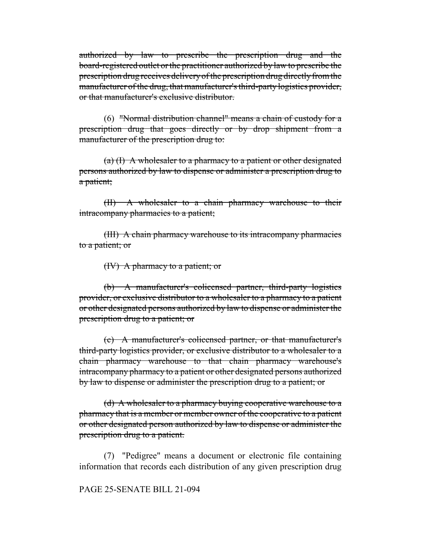authorized by law to prescribe the prescription drug and the board-registered outlet or the practitioner authorized by law to prescribe the prescription drug receives delivery of the prescription drug directly from the manufacturer of the drug, that manufacturer's third-party logistics provider, or that manufacturer's exclusive distributor.

(6) "Normal distribution channel" means a chain of custody for a prescription drug that goes directly or by drop shipment from a manufacturer of the prescription drug to:

 $(a)$  (I) A wholesaler to a pharmacy to a patient or other designated persons authorized by law to dispense or administer a prescription drug to a patient;

(II) A wholesaler to a chain pharmacy warehouse to their intracompany pharmacies to a patient;

(III) A chain pharmacy warehouse to its intracompany pharmacies to a patient; or

(IV) A pharmacy to a patient; or

(b) A manufacturer's colicensed partner, third-party logistics provider, or exclusive distributor to a wholesaler to a pharmacy to a patient or other designated persons authorized by law to dispense or administer the prescription drug to a patient; or

(c) A manufacturer's colicensed partner, or that manufacturer's third-party logistics provider, or exclusive distributor to a wholesaler to a chain pharmacy warehouse to that chain pharmacy warehouse's intracompany pharmacy to a patient or other designated persons authorized by law to dispense or administer the prescription drug to a patient; or

(d) A wholesaler to a pharmacy buying cooperative warehouse to a pharmacy that is a member or member owner of the cooperative to a patient or other designated person authorized by law to dispense or administer the prescription drug to a patient.

(7) "Pedigree" means a document or electronic file containing information that records each distribution of any given prescription drug

#### PAGE 25-SENATE BILL 21-094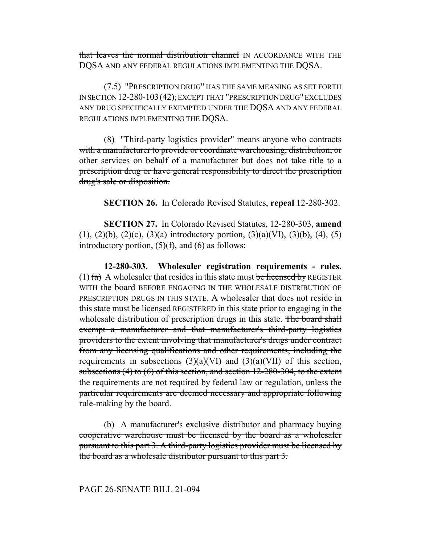that leaves the normal distribution channel IN ACCORDANCE WITH THE DQSA AND ANY FEDERAL REGULATIONS IMPLEMENTING THE DQSA.

(7.5) "PRESCRIPTION DRUG" HAS THE SAME MEANING AS SET FORTH IN SECTION 12-280-103(42); EXCEPT THAT "PRESCRIPTION DRUG" EXCLUDES ANY DRUG SPECIFICALLY EXEMPTED UNDER THE DQSA AND ANY FEDERAL REGULATIONS IMPLEMENTING THE DQSA.

(8) "Third-party logistics provider" means anyone who contracts with a manufacturer to provide or coordinate warehousing, distribution, or other services on behalf of a manufacturer but does not take title to a prescription drug or have general responsibility to direct the prescription drug's sale or disposition.

**SECTION 26.** In Colorado Revised Statutes, **repeal** 12-280-302.

**SECTION 27.** In Colorado Revised Statutes, 12-280-303, **amend** (1), (2)(b), (2)(c), (3)(a) introductory portion, (3)(a)(VI), (3)(b), (4), (5) introductory portion,  $(5)(f)$ , and  $(6)$  as follows:

**12-280-303. Wholesaler registration requirements - rules.**  $(1)$  (a) A wholesaler that resides in this state must be licensed by REGISTER WITH the board BEFORE ENGAGING IN THE WHOLESALE DISTRIBUTION OF PRESCRIPTION DRUGS IN THIS STATE. A wholesaler that does not reside in this state must be licensed REGISTERED in this state prior to engaging in the wholesale distribution of prescription drugs in this state. The board shall exempt a manufacturer and that manufacturer's third-party logistics providers to the extent involving that manufacturer's drugs under contract from any licensing qualifications and other requirements, including the requirements in subsections  $(3)(a)(V)$  and  $(3)(a)(V)$  of this section, subsections  $(4)$  to  $(6)$  of this section, and section 12-280-304, to the extent the requirements are not required by federal law or regulation, unless the particular requirements are deemed necessary and appropriate following rule-making by the board.

(b) A manufacturer's exclusive distributor and pharmacy buying cooperative warehouse must be licensed by the board as a wholesaler pursuant to this part 3. A third-party logistics provider must be licensed by the board as a wholesale distributor pursuant to this part 3.

### PAGE 26-SENATE BILL 21-094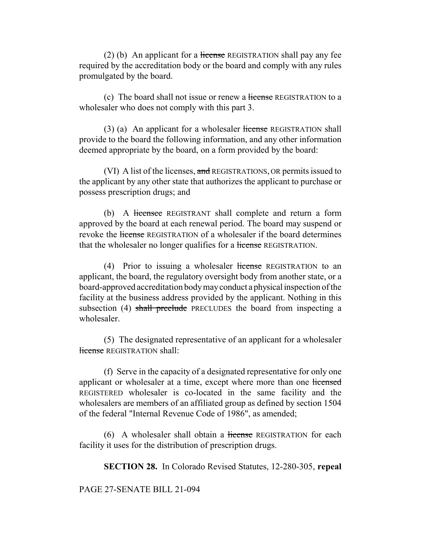$(2)$  (b) An applicant for a license REGISTRATION shall pay any fee required by the accreditation body or the board and comply with any rules promulgated by the board.

(c) The board shall not issue or renew a license REGISTRATION to a wholesaler who does not comply with this part 3.

(3) (a) An applicant for a wholesaler license REGISTRATION shall provide to the board the following information, and any other information deemed appropriate by the board, on a form provided by the board:

(VI) A list of the licenses, and REGISTRATIONS, OR permits issued to the applicant by any other state that authorizes the applicant to purchase or possess prescription drugs; and

(b) A licensee REGISTRANT shall complete and return a form approved by the board at each renewal period. The board may suspend or revoke the license REGISTRATION of a wholesaler if the board determines that the wholesaler no longer qualifies for a license REGISTRATION.

(4) Prior to issuing a wholesaler license REGISTRATION to an applicant, the board, the regulatory oversight body from another state, or a board-approved accreditation body may conduct a physical inspection of the facility at the business address provided by the applicant. Nothing in this subsection (4) shall preclude PRECLUDES the board from inspecting a wholesaler.

(5) The designated representative of an applicant for a wholesaler license REGISTRATION shall:

(f) Serve in the capacity of a designated representative for only one applicant or wholesaler at a time, except where more than one licensed REGISTERED wholesaler is co-located in the same facility and the wholesalers are members of an affiliated group as defined by section 1504 of the federal "Internal Revenue Code of 1986", as amended;

 $(6)$  A wholesaler shall obtain a license REGISTRATION for each facility it uses for the distribution of prescription drugs.

**SECTION 28.** In Colorado Revised Statutes, 12-280-305, **repeal**

## PAGE 27-SENATE BILL 21-094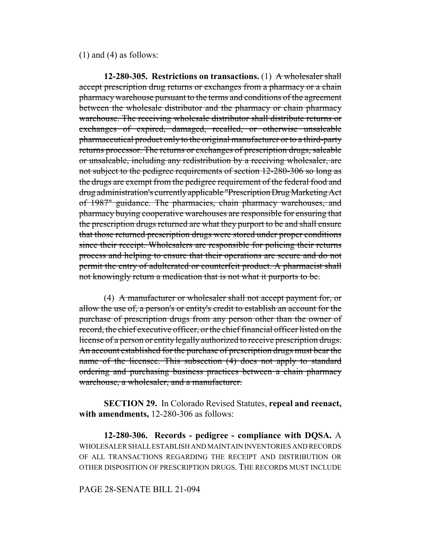(1) and (4) as follows:

**12-280-305. Restrictions on transactions.** (1) A wholesaler shall accept prescription drug returns or exchanges from a pharmacy or a chain pharmacy warehouse pursuant to the terms and conditions of the agreement between the wholesale distributor and the pharmacy or chain pharmacy warehouse. The receiving wholesale distributor shall distribute returns or exchanges of expired, damaged, recalled, or otherwise unsaleable pharmaceutical product only to the original manufacturer or to a third-party returns processor. The returns or exchanges of prescription drugs, saleable or unsaleable, including any redistribution by a receiving wholesaler, are not subject to the pedigree requirements of section 12-280-306 so long as the drugs are exempt from the pedigree requirement of the federal food and drug administration's currently applicable "Prescription Drug Marketing Act of 1987" guidance. The pharmacies, chain pharmacy warehouses, and pharmacy buying cooperative warehouses are responsible for ensuring that the prescription drugs returned are what they purport to be and shall ensure that those returned prescription drugs were stored under proper conditions since their receipt. Wholesalers are responsible for policing their returns process and helping to ensure that their operations are secure and do not permit the entry of adulterated or counterfeit product. A pharmacist shall not knowingly return a medication that is not what it purports to be.

(4) A manufacturer or wholesaler shall not accept payment for, or allow the use of, a person's or entity's credit to establish an account for the purchase of prescription drugs from any person other than the owner of record, the chief executive officer, or the chief financial officer listed on the license of a person or entity legally authorized to receive prescription drugs. An account established for the purchase of prescription drugs must bear the name of the licensee. This subsection (4) does not apply to standard ordering and purchasing business practices between a chain pharmacy warehouse, a wholesaler, and a manufacturer.

**SECTION 29.** In Colorado Revised Statutes, **repeal and reenact, with amendments,** 12-280-306 as follows:

**12-280-306. Records - pedigree - compliance with DQSA.** A WHOLESALER SHALL ESTABLISH AND MAINTAIN INVENTORIES AND RECORDS OF ALL TRANSACTIONS REGARDING THE RECEIPT AND DISTRIBUTION OR OTHER DISPOSITION OF PRESCRIPTION DRUGS. THE RECORDS MUST INCLUDE

### PAGE 28-SENATE BILL 21-094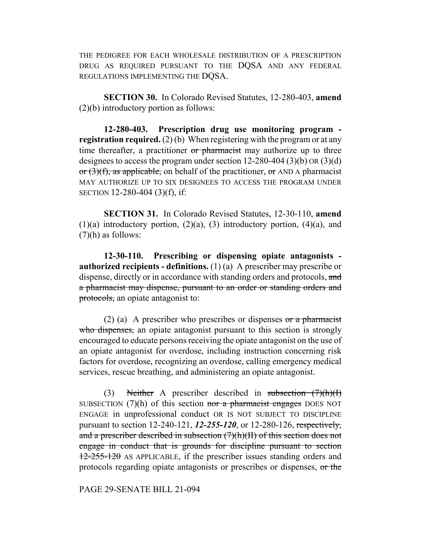THE PEDIGREE FOR EACH WHOLESALE DISTRIBUTION OF A PRESCRIPTION DRUG AS REQUIRED PURSUANT TO THE DQSA AND ANY FEDERAL REGULATIONS IMPLEMENTING THE DOSA.

**SECTION 30.** In Colorado Revised Statutes, 12-280-403, **amend** (2)(b) introductory portion as follows:

**12-280-403. Prescription drug use monitoring program registration required.** (2) (b) When registering with the program or at any time thereafter, a practitioner or pharmacist may authorize up to three designees to access the program under section 12-280-404 (3)(b) OR (3)(d) or  $(3)(f)$ , as applicable, on behalf of the practitioner, or AND A pharmacist MAY AUTHORIZE UP TO SIX DESIGNEES TO ACCESS THE PROGRAM UNDER SECTION 12-280-404 (3)(f), if:

**SECTION 31.** In Colorado Revised Statutes, 12-30-110, **amend**  $(1)(a)$  introductory portion,  $(2)(a)$ ,  $(3)$  introductory portion,  $(4)(a)$ , and (7)(h) as follows:

**12-30-110. Prescribing or dispensing opiate antagonists authorized recipients - definitions.** (1) (a) A prescriber may prescribe or dispense, directly or in accordance with standing orders and protocols, and a pharmacist may dispense, pursuant to an order or standing orders and protocols, an opiate antagonist to:

(2) (a) A prescriber who prescribes or dispenses or a pharmacist who dispenses, an opiate antagonist pursuant to this section is strongly encouraged to educate persons receiving the opiate antagonist on the use of an opiate antagonist for overdose, including instruction concerning risk factors for overdose, recognizing an overdose, calling emergency medical services, rescue breathing, and administering an opiate antagonist.

(3) Neither A prescriber described in subsection  $(7)(h)(I)$ SUBSECTION  $(7)(h)$  of this section nor a pharmacist engages DOES NOT ENGAGE in unprofessional conduct OR IS NOT SUBJECT TO DISCIPLINE pursuant to section 12-240-121, *12-255-120*, or 12-280-126, respectively, and a prescriber described in subsection (7)(h)(II) of this section does not engage in conduct that is grounds for discipline pursuant to section 12-255-120 AS APPLICABLE, if the prescriber issues standing orders and protocols regarding opiate antagonists or prescribes or dispenses, or the

PAGE 29-SENATE BILL 21-094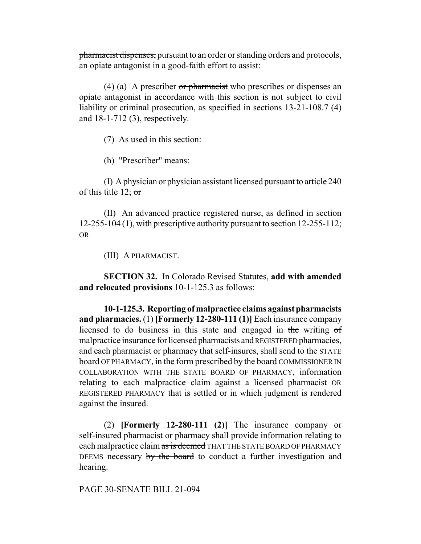pharmacist dispenses, pursuant to an order or standing orders and protocols, an opiate antagonist in a good-faith effort to assist:

(4) (a) A prescriber or pharmacist who prescribes or dispenses an opiate antagonist in accordance with this section is not subject to civil liability or criminal prosecution, as specified in sections 13-21-108.7 (4) and 18-1-712 (3), respectively.

(7) As used in this section:

(h) "Prescriber" means:

(I) A physician or physician assistant licensed pursuant to article 240 of this title 12;  $\sigma$ 

(II) An advanced practice registered nurse, as defined in section 12-255-104 (1), with prescriptive authority pursuant to section 12-255-112; OR

(III) A PHARMACIST.

**SECTION 32.** In Colorado Revised Statutes, **add with amended and relocated provisions** 10-1-125.3 as follows:

**10-1-125.3. Reporting of malpractice claims against pharmacists and pharmacies.** (1) **[Formerly 12-280-111 (1)]** Each insurance company licensed to do business in this state and engaged in the writing of malpractice insurance for licensed pharmacists and REGISTERED pharmacies, and each pharmacist or pharmacy that self-insures, shall send to the STATE board OF PHARMACY, in the form prescribed by the board COMMISSIONER IN COLLABORATION WITH THE STATE BOARD OF PHARMACY, information relating to each malpractice claim against a licensed pharmacist OR REGISTERED PHARMACY that is settled or in which judgment is rendered against the insured.

(2) **[Formerly 12-280-111 (2)]** The insurance company or self-insured pharmacist or pharmacy shall provide information relating to each malpractice claim as is deemed THAT THE STATE BOARD OF PHARMACY DEEMS necessary by the board to conduct a further investigation and hearing.

PAGE 30-SENATE BILL 21-094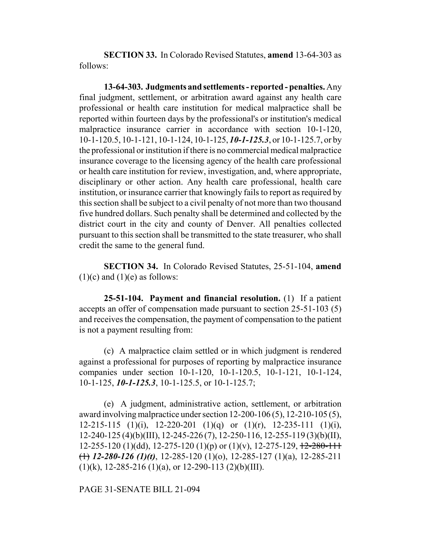**SECTION 33.** In Colorado Revised Statutes, **amend** 13-64-303 as follows:

**13-64-303. Judgments and settlements - reported - penalties.** Any final judgment, settlement, or arbitration award against any health care professional or health care institution for medical malpractice shall be reported within fourteen days by the professional's or institution's medical malpractice insurance carrier in accordance with section 10-1-120, 10-1-120.5, 10-1-121, 10-1-124, 10-1-125, *10-1-125.3*, or 10-1-125.7, or by the professional or institution if there is no commercial medical malpractice insurance coverage to the licensing agency of the health care professional or health care institution for review, investigation, and, where appropriate, disciplinary or other action. Any health care professional, health care institution, or insurance carrier that knowingly fails to report as required by this section shall be subject to a civil penalty of not more than two thousand five hundred dollars. Such penalty shall be determined and collected by the district court in the city and county of Denver. All penalties collected pursuant to this section shall be transmitted to the state treasurer, who shall credit the same to the general fund.

**SECTION 34.** In Colorado Revised Statutes, 25-51-104, **amend**  $(1)(c)$  and  $(1)(e)$  as follows:

**25-51-104. Payment and financial resolution.** (1) If a patient accepts an offer of compensation made pursuant to section 25-51-103 (5) and receives the compensation, the payment of compensation to the patient is not a payment resulting from:

(c) A malpractice claim settled or in which judgment is rendered against a professional for purposes of reporting by malpractice insurance companies under section 10-1-120, 10-1-120.5, 10-1-121, 10-1-124, 10-1-125, *10-1-125.3*, 10-1-125.5, or 10-1-125.7;

(e) A judgment, administrative action, settlement, or arbitration award involving malpractice under section 12-200-106 (5), 12-210-105 (5), 12-215-115 (1)(i),  $12-220-201$  (1)(q) or (1)(r),  $12-235-111$  (1)(i), 12-240-125 (4)(b)(III), 12-245-226 (7), 12-250-116, 12-255-119 (3)(b)(II), 12-255-120 (1)(dd), 12-275-120 (1)(p) or (1)(v), 12-275-129,  $\frac{12-280-111}{2}$ (1) *12-280-126 (1)(t)*, 12-285-120 (1)(o), 12-285-127 (1)(a), 12-285-211  $(1)(k)$ , 12-285-216 (1)(a), or 12-290-113 (2)(b)(III).

PAGE 31-SENATE BILL 21-094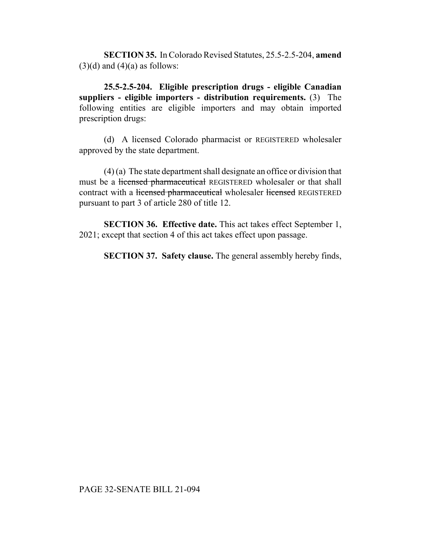**SECTION 35.** In Colorado Revised Statutes, 25.5-2.5-204, **amend**  $(3)(d)$  and  $(4)(a)$  as follows:

**25.5-2.5-204. Eligible prescription drugs - eligible Canadian suppliers - eligible importers - distribution requirements.** (3) The following entities are eligible importers and may obtain imported prescription drugs:

(d) A licensed Colorado pharmacist or REGISTERED wholesaler approved by the state department.

(4) (a) The state department shall designate an office or division that must be a licensed pharmaceutical REGISTERED wholesaler or that shall contract with a licensed pharmaceutical wholesaler licensed REGISTERED pursuant to part 3 of article 280 of title 12.

**SECTION 36. Effective date.** This act takes effect September 1, 2021; except that section 4 of this act takes effect upon passage.

**SECTION 37. Safety clause.** The general assembly hereby finds,